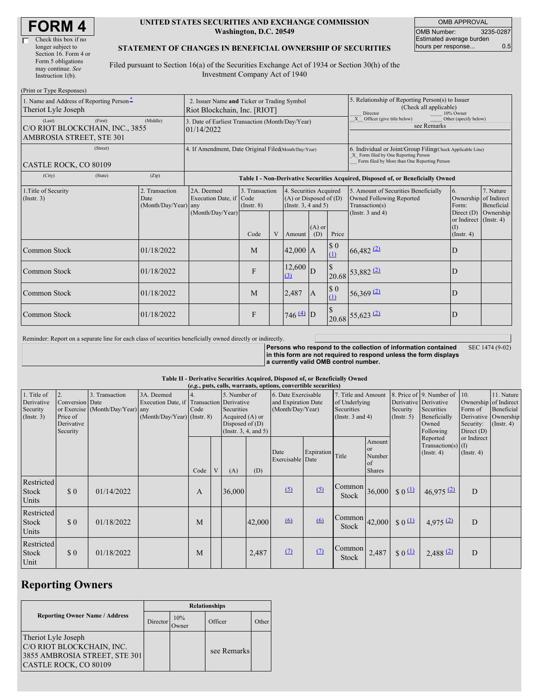#### **UNITED STATES SECURITIES AND EXCHANGE COMMISSION Washington, D.C. 20549**

OMB APPROVAL OMB Number: 3235-0287 Estimated average burden hours per response... 0.5

### **STATEMENT OF CHANGES IN BENEFICIAL OWNERSHIP OF SECURITIES**

Filed pursuant to Section 16(a) of the Securities Exchange Act of 1934 or Section 30(h) of the Investment Company Act of 1940

| (Print or Type Responses)                                                             |            |                                                                             |                               |   |                                                                                  |                 |                                                                                  |                                                                                                                                                    |                                                      |                                      |
|---------------------------------------------------------------------------------------|------------|-----------------------------------------------------------------------------|-------------------------------|---|----------------------------------------------------------------------------------|-----------------|----------------------------------------------------------------------------------|----------------------------------------------------------------------------------------------------------------------------------------------------|------------------------------------------------------|--------------------------------------|
| 1. Name and Address of Reporting Person-<br>Theriot Lyle Joseph                       |            | 2. Issuer Name and Ticker or Trading Symbol<br>Riot Blockchain, Inc. [RIOT] |                               |   |                                                                                  |                 |                                                                                  | 5. Relationship of Reporting Person(s) to Issuer<br>(Check all applicable)<br>Director<br>10% Owner                                                |                                                      |                                      |
| (Last)<br>(First)<br>C/O RIOT BLOCKCHAIN, INC., 3855<br>AMBROSIA STREET, STE 301      | (Middle)   | 3. Date of Earliest Transaction (Month/Day/Year)<br>01/14/2022              |                               |   |                                                                                  |                 |                                                                                  | $X$ Officer (give title below)<br>Other (specify below)<br>see Remarks                                                                             |                                                      |                                      |
| (Street)<br>CASTLE ROCK, CO 80109                                                     |            | 4. If Amendment, Date Original Filed Month/Day/Year)                        |                               |   |                                                                                  |                 |                                                                                  | 6. Individual or Joint/Group Filing(Check Applicable Line)<br>X Form filed by One Reporting Person<br>Form filed by More than One Reporting Person |                                                      |                                      |
| (City)<br>(State)                                                                     | (Zip)      |                                                                             |                               |   |                                                                                  |                 | Table I - Non-Derivative Securities Acquired, Disposed of, or Beneficially Owned |                                                                                                                                                    |                                                      |                                      |
| 2. Transaction<br>1. Title of Security<br>(Insert. 3)<br>Date<br>(Month/Day/Year) any |            | 2A. Deemed<br>Execution Date, if Code<br>(Month/Day/Year)                   | 3. Transaction<br>(Insert. 8) |   | 4. Securities Acquired<br>$(A)$ or Disposed of $(D)$<br>(Instr. $3, 4$ and $5$ ) |                 |                                                                                  | 5. Amount of Securities Beneficially<br><b>Owned Following Reported</b><br>Transaction(s)<br>(Instr. $3$ and $4$ )                                 | 6.<br>Ownership of Indirect<br>Form:<br>Direct $(D)$ | 7. Nature<br>Beneficial<br>Ownership |
|                                                                                       |            |                                                                             | Code                          | V | Amount                                                                           | $(A)$ or<br>(D) | Price                                                                            |                                                                                                                                                    | or Indirect (Instr. 4)<br>(I)<br>(Insert. 4)         |                                      |
| Common Stock                                                                          | 01/18/2022 |                                                                             | M                             |   | $42,000$ A                                                                       |                 | $\$$ 0<br>(1)                                                                    | $66,482$ <sup>(2)</sup>                                                                                                                            | D                                                    |                                      |
| Common Stock                                                                          | 01/18/2022 |                                                                             | F                             |   | 12,600<br>(3)                                                                    | D               | $\overline{\mathbf{S}}$                                                          | $20.68$ 53,882 (2)                                                                                                                                 | D                                                    |                                      |
| Common Stock                                                                          | 01/18/2022 |                                                                             | M                             |   | 2,487                                                                            | $\overline{A}$  | $\boldsymbol{\mathsf{S}}$ 0<br>(1)                                               | $56,369$ <sup>(2)</sup>                                                                                                                            | D                                                    |                                      |
| Common Stock                                                                          | 01/18/2022 |                                                                             | F                             |   | $746 \frac{40}{2}$ D                                                             |                 |                                                                                  | $20.68$ 55,623 (2)                                                                                                                                 | D                                                    |                                      |

Reminder: Report on a separate line for each class of securities beneficially owned directly or indirectly.

**Persons who respond to the collection of information contained in this form are not required to respond unless the form displays a currently valid OMB control number.** SEC 1474 (9-02)

### **Table II - Derivative Securities Acquired, Disposed of, or Beneficially Owned**

| (e.g., puts, calls, warrants, options, convertible securities) |                                                             |                                                    |                                                                                        |      |   |                                                                                                 |        |                                                                |                  |                                                                             |                                                          |                                                                                                                                  |                                                      |                                                                                              |                                              |
|----------------------------------------------------------------|-------------------------------------------------------------|----------------------------------------------------|----------------------------------------------------------------------------------------|------|---|-------------------------------------------------------------------------------------------------|--------|----------------------------------------------------------------|------------------|-----------------------------------------------------------------------------|----------------------------------------------------------|----------------------------------------------------------------------------------------------------------------------------------|------------------------------------------------------|----------------------------------------------------------------------------------------------|----------------------------------------------|
| 1. Title of<br>Derivative<br>Security<br>$($ Instr. 3 $)$      | 2.<br>Conversion Date<br>Price of<br>Derivative<br>Security | 3. Transaction<br>or Exercise (Month/Day/Year) any | 3A. Deemed<br>Execution Date, if Transaction Derivative<br>(Month/Day/Year) (Instr. 8) | Code |   | 5. Number of<br>Securities<br>Acquired (A) or<br>Disposed of $(D)$<br>(Instr. $3, 4,$ and $5$ ) |        | 6. Date Exercisable<br>and Expiration Date<br>(Month/Day/Year) |                  | 7. Title and Amount<br>of Underlying<br>Securities<br>(Instr. $3$ and $4$ ) |                                                          | 8. Price of 9. Number of<br>Derivative Derivative<br>Securities<br>Security<br>Beneficially<br>(Insert. 5)<br>Owned<br>Following |                                                      | 10.<br>Ownership of Indirect<br>Form of<br>Derivative Ownership<br>Security:<br>Direct $(D)$ | 11. Nature<br>Beneficial<br>$($ Instr. 4 $)$ |
|                                                                |                                                             |                                                    |                                                                                        | Code | V | (A)                                                                                             | (D)    | Date<br>Exercisable Date                                       | Expiration Title |                                                                             | Amount<br><sub>or</sub><br>Number<br>of<br><b>Shares</b> |                                                                                                                                  | Reported<br>Transaction(s) $(I)$<br>$($ Instr. 4 $)$ | or Indirect<br>$($ Instr. 4 $)$                                                              |                                              |
| Restricted<br>Stock<br>Units                                   | \$0                                                         | 01/14/2022                                         |                                                                                        | A    |   | 36,000                                                                                          |        | (5)                                                            | (5)              | Common<br>Stock                                                             |                                                          | 36,000 \$ $0^{(1)}$                                                                                                              | $46,975$ <sup>(2)</sup>                              | D                                                                                            |                                              |
| Restricted<br>Stock<br>Units                                   | \$0                                                         | 01/18/2022                                         |                                                                                        | M    |   |                                                                                                 | 42,000 | 60                                                             | $\omega$         | $\begin{bmatrix} \text{Common} \\ 42,000 \end{bmatrix}$<br><b>Stock</b>     |                                                          | $\frac{1}{2}0$                                                                                                                   | 4,975(2)                                             | D                                                                                            |                                              |
| Restricted<br><b>Stock</b><br>Unit                             | $\boldsymbol{\mathsf{S}}$ 0                                 | 01/18/2022                                         |                                                                                        | M    |   |                                                                                                 | 2,487  | (7)                                                            | (7)              | Common<br>Stock                                                             | 2,487                                                    | $\frac{1}{2}0$                                                                                                                   | $2,488$ <sup>(2)</sup>                               | D                                                                                            |                                              |

## **Reporting Owners**

|                                                                                                            | <b>Relationships</b> |               |             |       |  |  |  |  |
|------------------------------------------------------------------------------------------------------------|----------------------|---------------|-------------|-------|--|--|--|--|
| <b>Reporting Owner Name / Address</b>                                                                      | Director             | 10%<br>Dwner: | Officer     | Other |  |  |  |  |
| Theriot Lyle Joseph<br>C/O RIOT BLOCKCHAIN, INC.<br>3855 AMBROSIA STREET, STE 301<br>CASTLE ROCK, CO 80109 |                      |               | see Remarks |       |  |  |  |  |